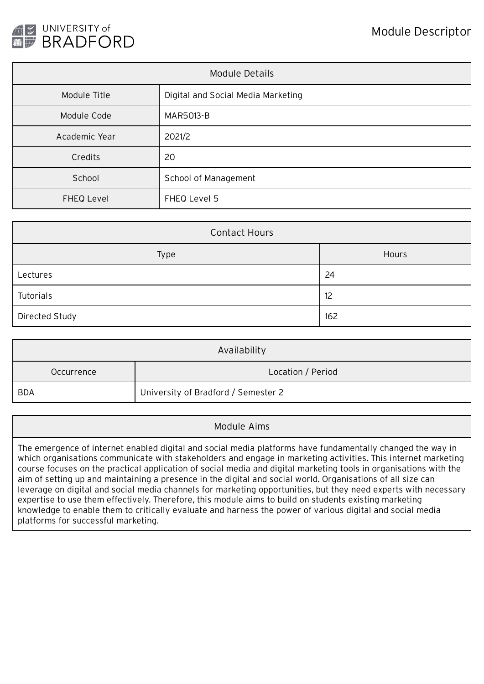

| Module Details |                                    |  |
|----------------|------------------------------------|--|
| Module Title   | Digital and Social Media Marketing |  |
| Module Code    | <b>MAR5013-B</b>                   |  |
| Academic Year  | 2021/2                             |  |
| Credits        | 20                                 |  |
| School         | School of Management               |  |
| FHEQ Level     | FHEQ Level 5                       |  |

| <b>Contact Hours</b> |       |  |  |
|----------------------|-------|--|--|
| Type                 | Hours |  |  |
| Lectures             | 24    |  |  |
| Tutorials            | 12    |  |  |
| Directed Study       | 162   |  |  |

| Availability |                                     |  |  |  |
|--------------|-------------------------------------|--|--|--|
| Occurrence   | Location / Period                   |  |  |  |
| <b>BDA</b>   | University of Bradford / Semester 2 |  |  |  |

## Module Aims

The emergence of internet enabled digital and social media platforms have fundamentally changed the way in which organisations communicate with stakeholders and engage in marketing activities. This internet marketing course focuses on the practical application of social media and digital marketing tools in organisations with the aim of setting up and maintaining a presence in the digital and social world. Organisations of all size can leverage on digital and social media channels for marketing opportunities, but they need experts with necessary expertise to use them effectively. Therefore, this module aims to build on students existing marketing knowledge to enable them to critically evaluate and harness the power of various digital and social media platforms for successful marketing.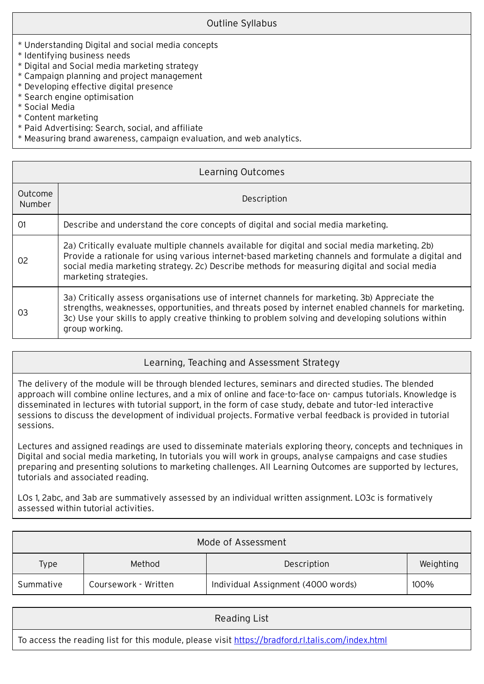- \* Understanding Digital and social media concepts
- \* Identifying business needs
- \* Digital and Social media marketing strategy
- \* Campaign planning and project management
- \* Developing effective digital presence
- \* Search engine optimisation
- \* Social Media
- \* Content marketing
- \* Paid Advertising: Search, social, and affiliate
- \* Measuring brand awareness, campaign evaluation, and web analytics.

| Learning Outcomes        |                                                                                                                                                                                                                                                                                                                                 |  |  |  |
|--------------------------|---------------------------------------------------------------------------------------------------------------------------------------------------------------------------------------------------------------------------------------------------------------------------------------------------------------------------------|--|--|--|
| <b>Outcome</b><br>Number | Description                                                                                                                                                                                                                                                                                                                     |  |  |  |
| O1                       | Describe and understand the core concepts of digital and social media marketing.                                                                                                                                                                                                                                                |  |  |  |
| 02                       | 2a) Critically evaluate multiple channels available for digital and social media marketing. 2b)<br>Provide a rationale for using various internet-based marketing channels and formulate a digital and<br>social media marketing strategy. 2c) Describe methods for measuring digital and social media<br>marketing strategies. |  |  |  |
| 03                       | 3a) Critically assess organisations use of internet channels for marketing. 3b) Appreciate the<br>strengths, weaknesses, opportunities, and threats posed by internet enabled channels for marketing.<br>3c) Use your skills to apply creative thinking to problem solving and developing solutions within<br>group working.    |  |  |  |

## Learning, Teaching and Assessment Strategy

The delivery of the module will be through blended lectures, seminars and directed studies. The blended approach will combine online lectures, and a mix of online and face-to-face on- campus tutorials. Knowledge is disseminated in lectures with tutorial support, in the form of case study, debate and tutor-led interactive sessions to discuss the development of individual projects. Formative verbal feedback is provided in tutorial sessions.

Lectures and assigned readings are used to disseminate materials exploring theory, concepts and techniques in Digital and social media marketing, In tutorials you will work in groups, analyse campaigns and case studies preparing and presenting solutions to marketing challenges. All Learning Outcomes are supported by lectures, tutorials and associated reading.

LOs 1, 2abc, and 3ab are summatively assessed by an individual written assignment. LO3c is formatively assessed within tutorial activities.

| Mode of Assessment |                      |                                    |           |  |  |
|--------------------|----------------------|------------------------------------|-----------|--|--|
| Type               | Method               | Description                        | Weighting |  |  |
| Summative          | Coursework - Written | Individual Assignment (4000 words) | 100%      |  |  |

| Reading List                                                                                      |
|---------------------------------------------------------------------------------------------------|
| To access the reading list for this module, please visit https://bradford.rl.talis.com/index.html |